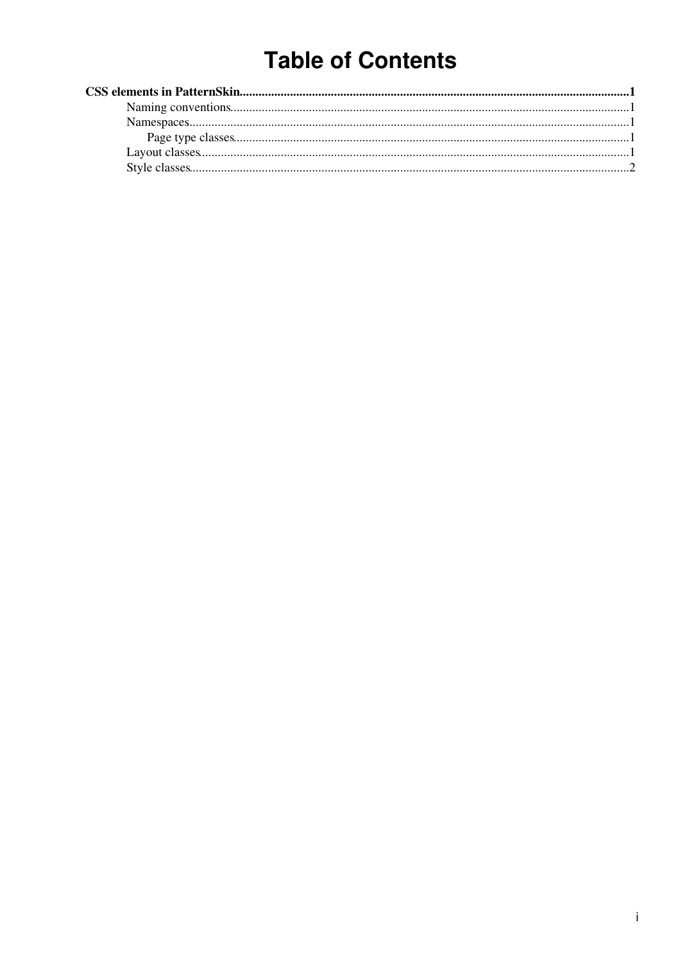# **Table of Contents**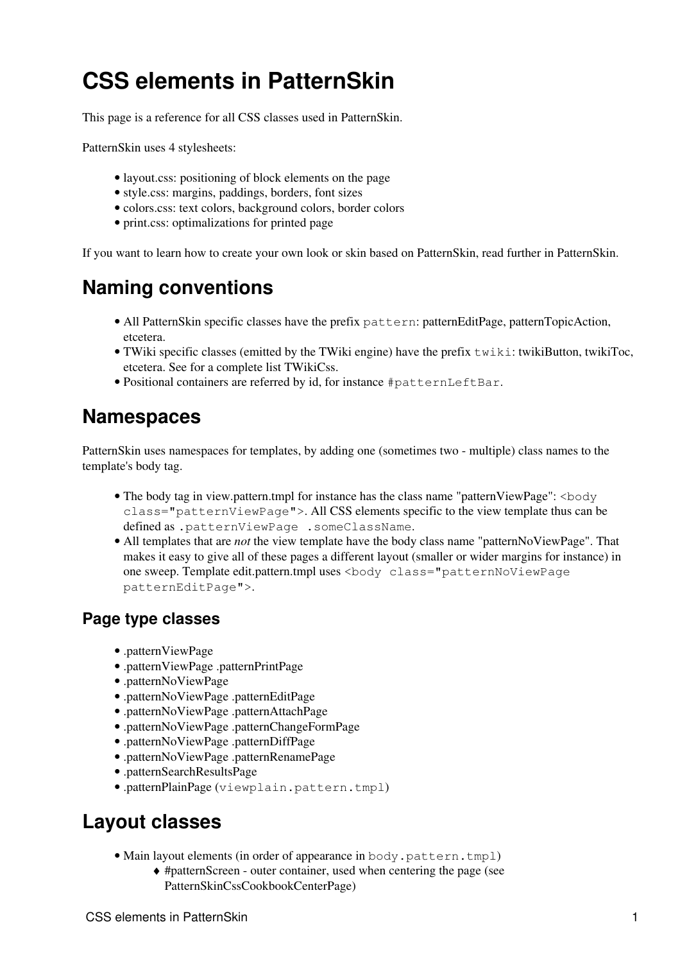# <span id="page-1-0"></span>**CSS elements in PatternSkin**

This page is a reference for all CSS classes used in [PatternSkin.](https://wiki-igi.cnaf.infn.it/twiki/bin/view/TWiki/PatternSkin)

PatternSkin uses 4 stylesheets:

- [layout.css:](https://wiki-igi.cnaf.infn.it/twiki/pub/TWiki/PatternSkin/layout.css) positioning of block elements on the page
- [style.css:](https://wiki-igi.cnaf.infn.it/twiki/pub/TWiki/PatternSkin/style.css) margins, paddings, borders, font sizes
- [colors.css](https://wiki-igi.cnaf.infn.it/twiki/pub/TWiki/PatternSkin/colors.css): text colors, background colors, border colors
- [print.css:](https://wiki-igi.cnaf.infn.it/twiki/pub/TWiki/PatternSkin/print.css) optimalizations for printed page

If you want to learn how to create your own look or skin based on PatternSkin, read further in [PatternSkin.](https://wiki-igi.cnaf.infn.it/twiki/bin/view/TWiki/PatternSkin)

## <span id="page-1-1"></span>**Naming conventions**

- All PatternSkin specific classes have the prefix pattern: patternEditPage, patternTopicAction, etcetera.
- TWiki specific classes (emitted by the TWiki engine) have the prefix  $\text{twiki}$ : twikiButton, twikiToc, etcetera. See for a complete list [TWikiCss](https://wiki-igi.cnaf.infn.it/twiki/bin/view/TWiki/TWikiCss).
- Positional containers are referred by id, for instance #patternLeftBar.

### <span id="page-1-2"></span>**Namespaces**

PatternSkin uses namespaces for templates, by adding one (sometimes two - multiple) class names to the template's body tag.

- The body tag in view.pattern.tmpl for instance has the class name "patternViewPage": <br/>body class="patternViewPage">. All CSS elements specific to the view template thus can be defined as .patternViewPage .someClassName.
- All templates that are *not* the view template have the body class name "patternNoViewPage". That makes it easy to give all of these pages a different layout (smaller or wider margins for instance) in one sweep. Template edit.pattern.tmpl uses <body class="patternNoViewPage patternEditPage">.

#### <span id="page-1-3"></span>**Page type classes**

- .patternViewPage
- .patternViewPage .patternPrintPage
- .patternNoViewPage
- .patternNoViewPage .patternEditPage
- .patternNoViewPage .patternAttachPage
- .patternNoViewPage .patternChangeFormPage
- .patternNoViewPage .patternDiffPage
- .patternNoViewPage .patternRenamePage
- .patternSearchResultsPage
- .patternPlainPage (viewplain.pattern.tmpl)

### <span id="page-1-4"></span>**Layout classes**

- Main layout elements (in order of appearance in body.pattern.tmpl)
	- #patternScreen outer container, used when centering the page (see ♦ PatternSkinCssCookbookCenterPage)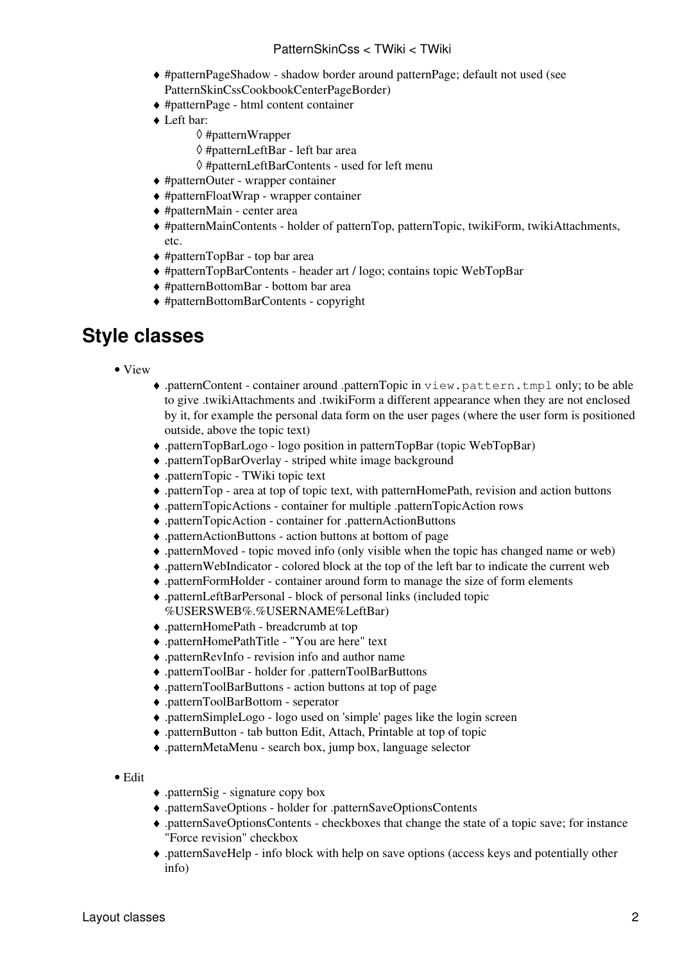- #patternPageShadow shadow border around patternPage; default not used (see ♦ PatternSkinCssCookbookCenterPageBorder)
- ♦ #patternPage html content container
- Left bar: ♦
	- ◊ #patternWrapper
	- ◊ #patternLeftBar left bar area
	- ◊ #patternLeftBarContents used for left menu
- ♦ #patternOuter wrapper container
- ♦ #patternFloatWrap wrapper container
- ♦ #patternMain center area
- #patternMainContents holder of patternTop, patternTopic, twikiForm, twikiAttachments, ♦ etc.
- ♦ #patternTopBar top bar area
- ♦ #patternTopBarContents header art / logo; contains topic [WebTopBar](https://wiki-igi.cnaf.infn.it/twiki/bin/view/TWiki/WebTopBar)
- ♦ #patternBottomBar bottom bar area
- ♦ #patternBottomBarContents copyright

#### <span id="page-2-0"></span>**Style classes**

- View
- .patternContent container around .patternTopic in view.pattern.tmpl only; to be able ♦ to give .twikiAttachments and .twikiForm a different appearance when they are not enclosed by it, for example the personal data form on the user pages (where the user form is positioned outside, above the topic text)
- ♦ .patternTopBarLogo logo position in patternTopBar (topic [WebTopBar\)](https://wiki-igi.cnaf.infn.it/twiki/bin/view/TWiki/WebTopBar)
- ♦ .patternTopBarOverlay striped white image background
- ♦ .patternTopic TWiki topic text
- ♦ .patternTop area at top of topic text, with patternHomePath, revision and action buttons
- ♦ .patternTopicActions container for multiple .patternTopicAction rows
- ♦ .patternTopicAction container for .patternActionButtons
- ♦ .patternActionButtons action buttons at bottom of page
- ♦ .patternMoved topic moved info (only visible when the topic has changed name or web)
- ♦ .patternWebIndicator colored block at the top of the left bar to indicate the current web
- ♦ .patternFormHolder container around form to manage the size of form elements
- .patternLeftBarPersonal block of personal links (included topic ♦ %USERSWEB%.%USERNAME%LeftBar)
- ♦ .patternHomePath breadcrumb at top
- ♦ .patternHomePathTitle "You are here" text
- ♦ .patternRevInfo revision info and author name
- ♦ .patternToolBar holder for .patternToolBarButtons
- ♦ .patternToolBarButtons action buttons at top of page
- ♦ .patternToolBarBottom seperator
- ♦ .patternSimpleLogo logo used on 'simple' pages like the login screen
- ♦ .patternButton tab button Edit, Attach, Printable at top of topic
- ♦ .patternMetaMenu search box, jump box, language selector
- Edit
- ♦ .patternSig signature copy box
- ♦ .patternSaveOptions holder for .patternSaveOptionsContents
- .patternSaveOptionsContents checkboxes that change the state of a topic save; for instance ♦ "Force revision" checkbox
- .patternSaveHelp info block with help on save options (access keys and potentially other ♦ info)